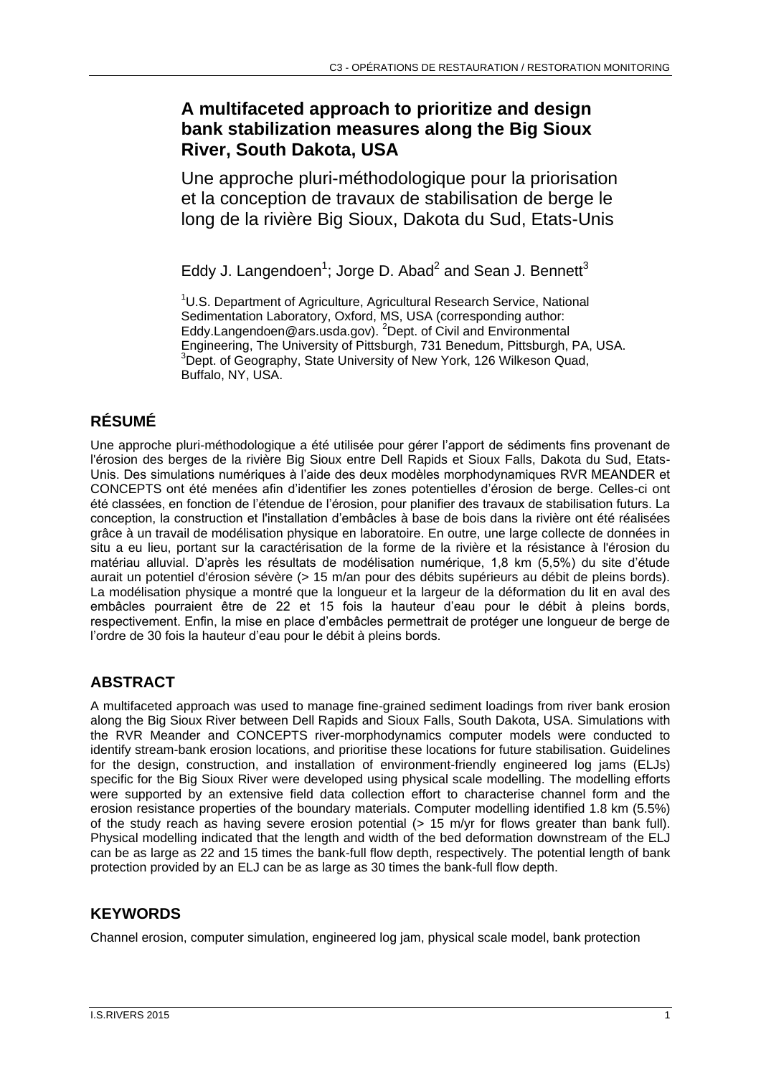# **A multifaceted approach to prioritize and design bank stabilization measures along the Big Sioux River, South Dakota, USA**

Une approche pluri-méthodologique pour la priorisation et la conception de travaux de stabilisation de berge le long de la rivière Big Sioux, Dakota du Sud, Etats-Unis

Eddy J. Langendoen<sup>1</sup>; Jorge D. Abad<sup>2</sup> and Sean J. Bennett<sup>3</sup>

<sup>1</sup>U.S. Department of Agriculture, Agricultural Research Service, National Sedimentation Laboratory, Oxford, MS, USA (corresponding author: Eddy.Langendoen@ars.usda.gov). <sup>2</sup>Dept. of Civil and Environmental Engineering, The University of Pittsburgh, 731 Benedum, Pittsburgh, PA, USA. <sup>3</sup>Dept. of Geography, State University of New York, 126 Wilkeson Quad, Buffalo, NY, USA.

# **RÉSUMÉ**

Une approche pluri-méthodologique a été utilisée pour gérer l'apport de sédiments fins provenant de l'érosion des berges de la rivière Big Sioux entre Dell Rapids et Sioux Falls, Dakota du Sud, Etats-Unis. Des simulations numériques à l'aide des deux modèles morphodynamiques RVR MEANDER et CONCEPTS ont été menées afin d'identifier les zones potentielles d'érosion de berge. Celles-ci ont été classées, en fonction de l'étendue de l'érosion, pour planifier des travaux de stabilisation futurs. La conception, la construction et l'installation d'embâcles à base de bois dans la rivière ont été réalisées grâce à un travail de modélisation physique en laboratoire. En outre, une large collecte de données in situ a eu lieu, portant sur la caractérisation de la forme de la rivière et la résistance à l'érosion du matériau alluvial. D'après les résultats de modélisation numérique, 1,8 km (5,5%) du site d'étude aurait un potentiel d'érosion sévère (> 15 m/an pour des débits supérieurs au débit de pleins bords). La modélisation physique a montré que la longueur et la largeur de la déformation du lit en aval des embâcles pourraient être de 22 et 15 fois la hauteur d'eau pour le débit à pleins bords, respectivement. Enfin, la mise en place d'embâcles permettrait de protéger une longueur de berge de l'ordre de 30 fois la hauteur d'eau pour le débit à pleins bords.

# **ABSTRACT**

A multifaceted approach was used to manage fine-grained sediment loadings from river bank erosion along the Big Sioux River between Dell Rapids and Sioux Falls, South Dakota, USA. Simulations with the RVR Meander and CONCEPTS river-morphodynamics computer models were conducted to identify stream-bank erosion locations, and prioritise these locations for future stabilisation. Guidelines for the design, construction, and installation of environment-friendly engineered log jams (ELJs) specific for the Big Sioux River were developed using physical scale modelling. The modelling efforts were supported by an extensive field data collection effort to characterise channel form and the erosion resistance properties of the boundary materials. Computer modelling identified 1.8 km (5.5%) of the study reach as having severe erosion potential (> 15 m/yr for flows greater than bank full). Physical modelling indicated that the length and width of the bed deformation downstream of the ELJ can be as large as 22 and 15 times the bank-full flow depth, respectively. The potential length of bank protection provided by an ELJ can be as large as 30 times the bank-full flow depth.

### **KEYWORDS**

Channel erosion, computer simulation, engineered log jam, physical scale model, bank protection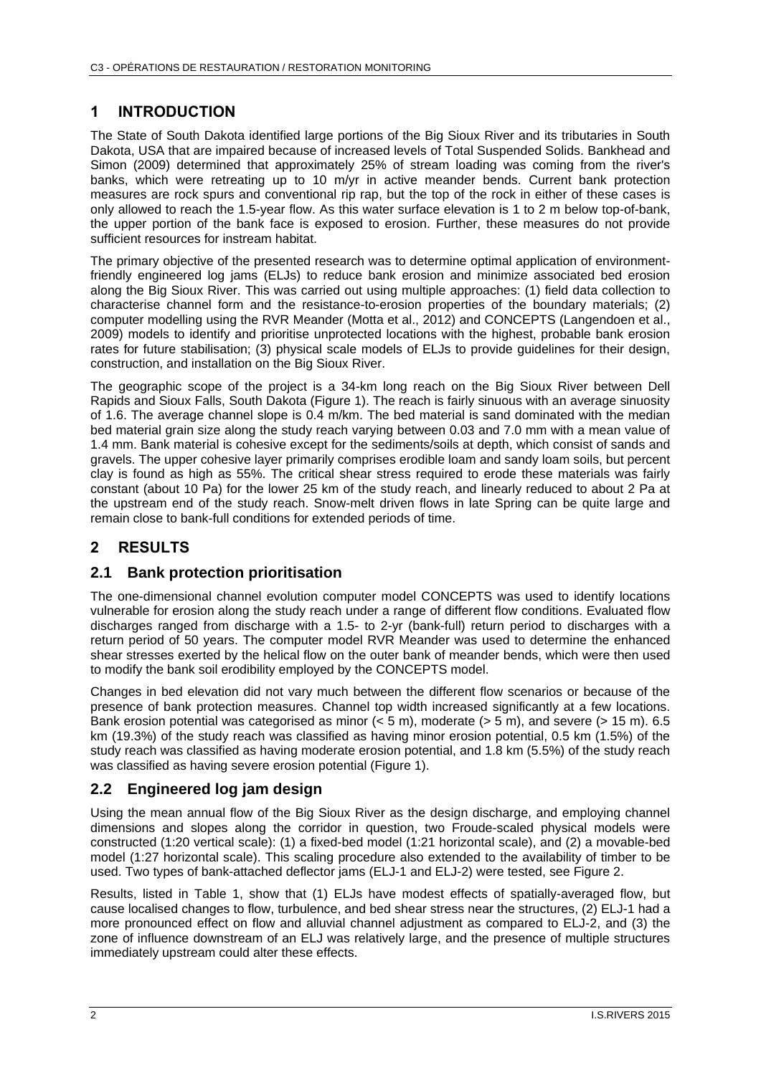### **1 INTRODUCTION**

The State of South Dakota identified large portions of the Big Sioux River and its tributaries in South Dakota, USA that are impaired because of increased levels of Total Suspended Solids. Bankhead and Simon (2009) determined that approximately 25% of stream loading was coming from the river's banks, which were retreating up to 10 m/yr in active meander bends. Current bank protection measures are rock spurs and conventional rip rap, but the top of the rock in either of these cases is only allowed to reach the 1.5-year flow. As this water surface elevation is 1 to 2 m below top-of-bank, the upper portion of the bank face is exposed to erosion. Further, these measures do not provide sufficient resources for instream habitat.

The primary objective of the presented research was to determine optimal application of environmentfriendly engineered log jams (ELJs) to reduce bank erosion and minimize associated bed erosion along the Big Sioux River. This was carried out using multiple approaches: (1) field data collection to characterise channel form and the resistance-to-erosion properties of the boundary materials; (2) computer modelling using the RVR Meander (Motta et al., 2012) and CONCEPTS (Langendoen et al., 2009) models to identify and prioritise unprotected locations with the highest, probable bank erosion rates for future stabilisation; (3) physical scale models of ELJs to provide guidelines for their design, construction, and installation on the Big Sioux River.

The geographic scope of the project is a 34-km long reach on the Big Sioux River between Dell Rapids and Sioux Falls, South Dakota (Figure 1). The reach is fairly sinuous with an average sinuosity of 1.6. The average channel slope is 0.4 m/km. The bed material is sand dominated with the median bed material grain size along the study reach varying between 0.03 and 7.0 mm with a mean value of 1.4 mm. Bank material is cohesive except for the sediments/soils at depth, which consist of sands and gravels. The upper cohesive layer primarily comprises erodible loam and sandy loam soils, but percent clay is found as high as 55%. The critical shear stress required to erode these materials was fairly constant (about 10 Pa) for the lower 25 km of the study reach, and linearly reduced to about 2 Pa at the upstream end of the study reach. Snow-melt driven flows in late Spring can be quite large and remain close to bank-full conditions for extended periods of time.

# **2 RESULTS**

### **2.1 Bank protection prioritisation**

The one-dimensional channel evolution computer model CONCEPTS was used to identify locations vulnerable for erosion along the study reach under a range of different flow conditions. Evaluated flow discharges ranged from discharge with a 1.5- to 2-yr (bank-full) return period to discharges with a return period of 50 years. The computer model RVR Meander was used to determine the enhanced shear stresses exerted by the helical flow on the outer bank of meander bends, which were then used to modify the bank soil erodibility employed by the CONCEPTS model.

Changes in bed elevation did not vary much between the different flow scenarios or because of the presence of bank protection measures. Channel top width increased significantly at a few locations. Bank erosion potential was categorised as minor  $(< 5 \text{ m})$ , moderate  $(> 5 \text{ m})$ , and severe  $(> 15 \text{ m})$ . 6.5 km (19.3%) of the study reach was classified as having minor erosion potential, 0.5 km (1.5%) of the study reach was classified as having moderate erosion potential, and 1.8 km (5.5%) of the study reach was classified as having severe erosion potential (Figure 1).

### **2.2 Engineered log jam design**

Using the mean annual flow of the Big Sioux River as the design discharge, and employing channel dimensions and slopes along the corridor in question, two Froude-scaled physical models were constructed (1:20 vertical scale): (1) a fixed-bed model (1:21 horizontal scale), and (2) a movable-bed model (1:27 horizontal scale). This scaling procedure also extended to the availability of timber to be used. Two types of bank-attached deflector jams (ELJ-1 and ELJ-2) were tested, see Figure 2.

Results, listed in Table 1, show that (1) ELJs have modest effects of spatially-averaged flow, but cause localised changes to flow, turbulence, and bed shear stress near the structures, (2) ELJ-1 had a more pronounced effect on flow and alluvial channel adjustment as compared to ELJ-2, and (3) the zone of influence downstream of an ELJ was relatively large, and the presence of multiple structures immediately upstream could alter these effects.